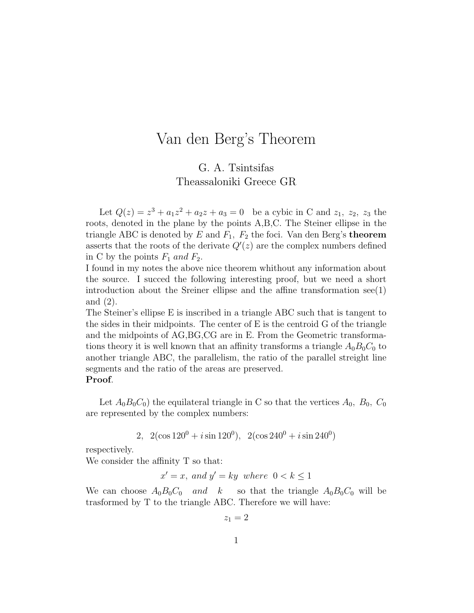## Van den Berg's Theorem

## G. A. Tsintsifas Theassaloniki Greece GR

Let  $Q(z) = z^3 + a_1 z^2 + a_2 z + a_3 = 0$  be a cybic in C and  $z_1$ ,  $z_2$ ,  $z_3$  the roots, denoted in the plane by the points A,B,C. The Steiner ellipse in the triangle ABC is denoted by E and  $F_1$ ,  $F_2$  the foci. Van den Berg's theorem asserts that the roots of the derivate  $Q'(z)$  are the complex numbers defined in C by the points  $F_1$  and  $F_2$ .

I found in my notes the above nice theorem whithout any information about the source. I succed the following interesting proof, but we need a short introduction about the Sreiner ellipse and the affine transformation see(1) and (2).

The Steiner's ellipse E is inscribed in a triangle ABC such that is tangent to the sides in their midpoints. The center of E is the centroid G of the triangle and the midpoints of AG,BG,CG are in E. From the Geometric transformations theory it is well known that an affinity transforms a triangle  $A_0B_0C_0$  to another triangle ABC, the parallelism, the ratio of the parallel streight line segments and the ratio of the areas are preserved.

## Proof.

Let  $A_0B_0C_0$  the equilateral triangle in C so that the vertices  $A_0$ ,  $B_0$ ,  $C_0$ are represented by the complex numbers:

2,  $2(\cos 120^0 + i \sin 120^0)$ ,  $2(\cos 240^0 + i \sin 240^0)$ 

respectively.

We consider the affinity T so that:

$$
x' = x
$$
, and  $y' = ky$  where  $0 < k \le 1$ 

We can choose  $A_0B_0C_0$  and k so that the triangle  $A_0B_0C_0$  will be trasformed by T to the triangle ABC. Therefore we will have:

 $z_1 = 2$